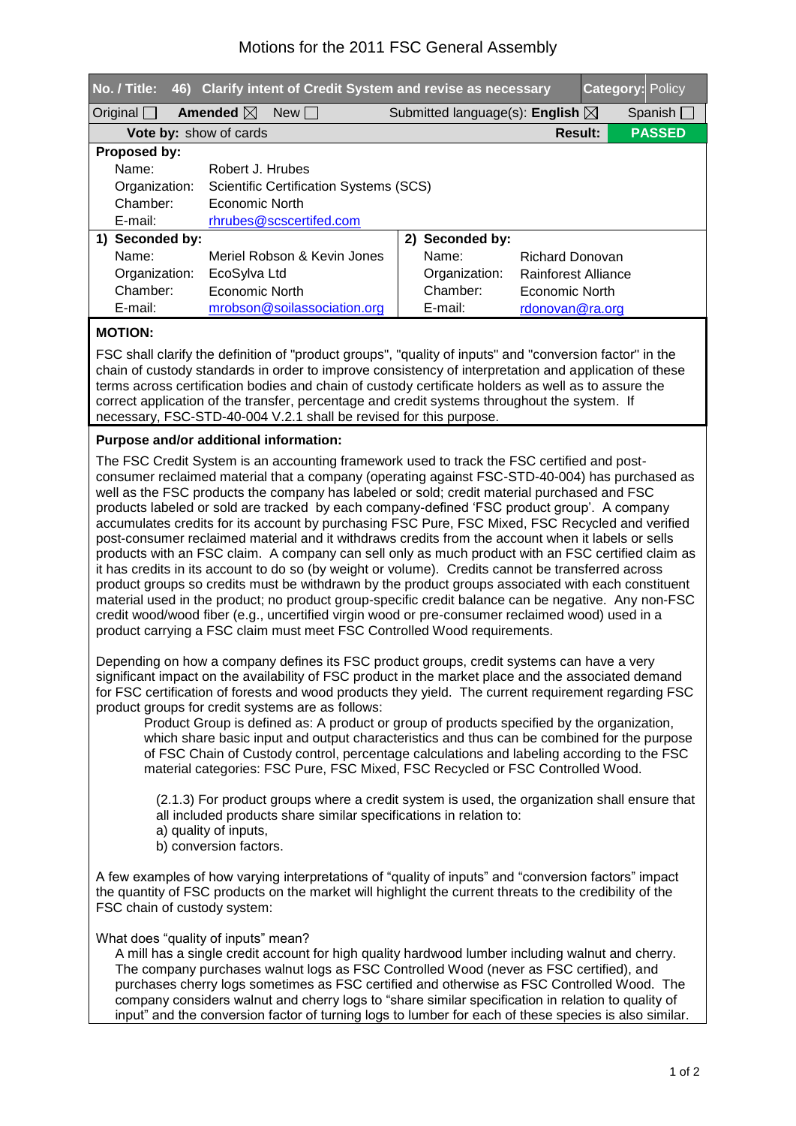## Motions for the 2011 FSC General Assembly

| No. / Title:                                            |                            | 46) Clarify intent of Credit System and revise as necessary |  |  |                                            |                     |  | <b>Category: Policy</b> |  |
|---------------------------------------------------------|----------------------------|-------------------------------------------------------------|--|--|--------------------------------------------|---------------------|--|-------------------------|--|
| Original $\Box$                                         | Amended $\boxtimes$        | New                                                         |  |  | Submitted language(s): English $\boxtimes$ |                     |  | Spanish $\Box$          |  |
| <b>Vote by: show of cards</b>                           |                            |                                                             |  |  |                                            | <b>Result:</b>      |  | <b>PASSED</b>           |  |
| Proposed by:                                            |                            |                                                             |  |  |                                            |                     |  |                         |  |
| Name:                                                   | Robert J. Hrubes           |                                                             |  |  |                                            |                     |  |                         |  |
| Organization:<br>Scientific Certification Systems (SCS) |                            |                                                             |  |  |                                            |                     |  |                         |  |
|                                                         | Chamber:<br>Economic North |                                                             |  |  |                                            |                     |  |                         |  |
| $E$ -mail:                                              |                            | rhrubes@scscertifed.com                                     |  |  |                                            |                     |  |                         |  |
| 1) Seconded by:                                         |                            |                                                             |  |  | 2) Seconded by:                            |                     |  |                         |  |
| Name:                                                   |                            | Meriel Robson & Kevin Jones                                 |  |  | Name:                                      | Richard Donovan     |  |                         |  |
| Organization:                                           | EcoSylva Ltd               |                                                             |  |  | Organization:                              | Rainforest Alliance |  |                         |  |
| Chamber:                                                | Economic North             |                                                             |  |  | Chamber:                                   | Economic North      |  |                         |  |
| E-mail:                                                 |                            | mrobson@soilassociation.org                                 |  |  | E-mail:                                    | rdonovan@ra.org     |  |                         |  |

## **MOTION:**

FSC shall clarify the definition of "product groups", "quality of inputs" and "conversion factor" in the chain of custody standards in order to improve consistency of interpretation and application of these terms across certification bodies and chain of custody certificate holders as well as to assure the correct application of the transfer, percentage and credit systems throughout the system. If necessary, FSC-STD-40-004 V.2.1 shall be revised for this purpose.

## **Purpose and/or additional information:**

The FSC Credit System is an accounting framework used to track the FSC certified and postconsumer reclaimed material that a company (operating against FSC-STD-40-004) has purchased as well as the FSC products the company has labeled or sold; credit material purchased and FSC products labeled or sold are tracked by each company-defined 'FSC product group'. A company accumulates credits for its account by purchasing FSC Pure, FSC Mixed, FSC Recycled and verified post-consumer reclaimed material and it withdraws credits from the account when it labels or sells products with an FSC claim. A company can sell only as much product with an FSC certified claim as it has credits in its account to do so (by weight or volume). Credits cannot be transferred across product groups so credits must be withdrawn by the product groups associated with each constituent material used in the product; no product group-specific credit balance can be negative. Any non-FSC credit wood/wood fiber (e.g., uncertified virgin wood or pre-consumer reclaimed wood) used in a product carrying a FSC claim must meet FSC Controlled Wood requirements.

Depending on how a company defines its FSC product groups, credit systems can have a very significant impact on the availability of FSC product in the market place and the associated demand for FSC certification of forests and wood products they yield. The current requirement regarding FSC product groups for credit systems are as follows:

Product Group is defined as: A product or group of products specified by the organization, which share basic input and output characteristics and thus can be combined for the purpose of FSC Chain of Custody control, percentage calculations and labeling according to the FSC material categories: FSC Pure, FSC Mixed, FSC Recycled or FSC Controlled Wood.

 $(2.1.3)$  For product groups where a credit system is used, the organization shall ensure that all included products share similar specifications in relation to: a) quality of inputs, b) conversion factors.

A few examples of how varying interpretations of "quality of inputs" and "conversion factors" impact the quantity of FSC products on the market will highlight the current threats to the credibility of the FSC chain of custody system:

What does "quality of inputs" mean?

A mill has a single credit account for high quality hardwood lumber including walnut and cherry. The company purchases walnut logs as FSC Controlled Wood (never as FSC certified), and purchases cherry logs sometimes as FSC certified and otherwise as FSC Controlled Wood. The company considers walnut and cherry logs to "share similar specification in relation to quality of input" and the conversion factor of turning logs to lumber for each of these species is also similar.